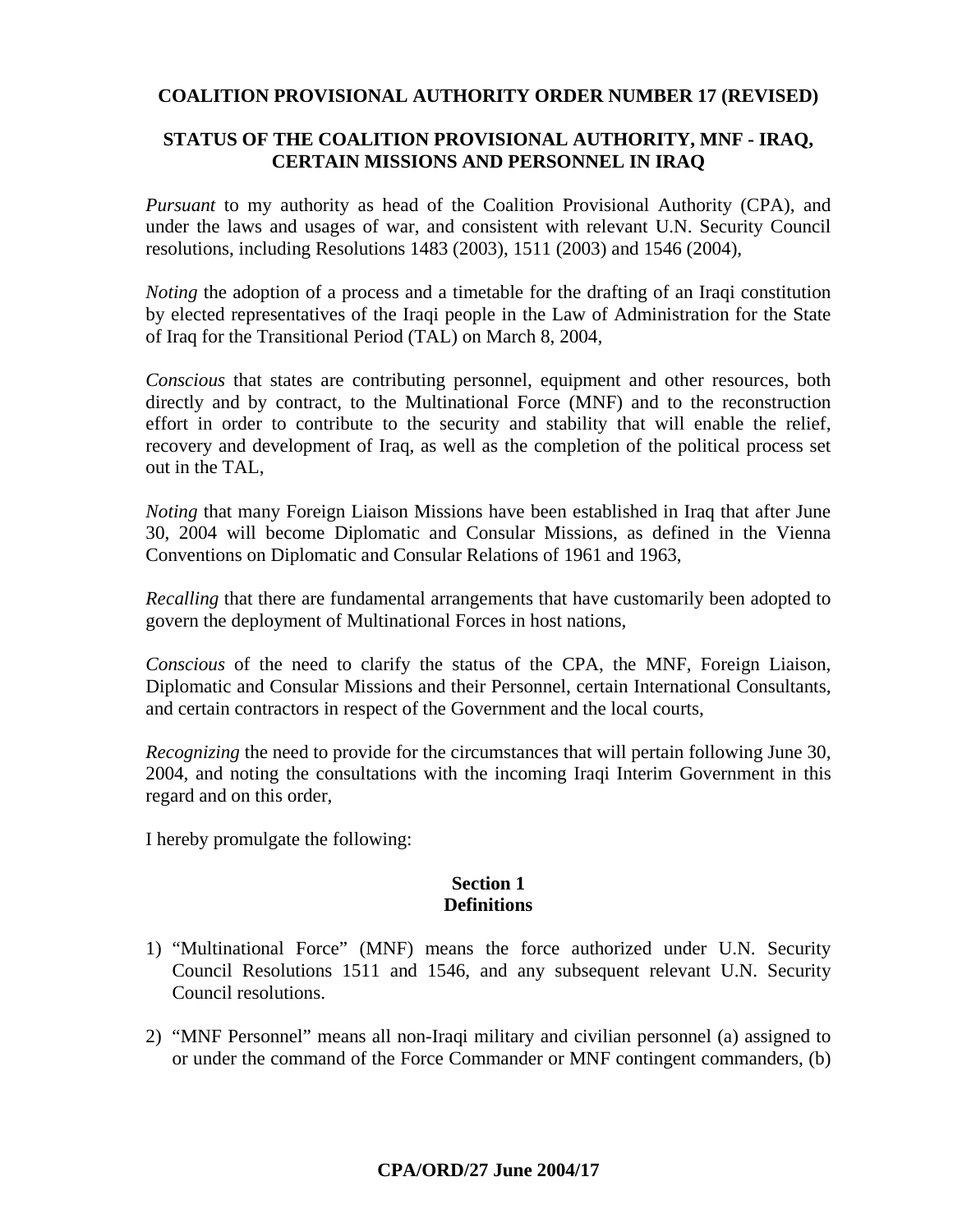### **COALITION PROVISIONAL AUTHORITY ORDER NUMBER 17 (REVISED)**

### **STATUS OF THE COALITION PROVISIONAL AUTHORITY, MNF - IRAQ, CERTAIN MISSIONS AND PERSONNEL IN IRAQ**

*Pursuant* to my authority as head of the Coalition Provisional Authority (CPA), and under the laws and usages of war, and consistent with relevant U.N. Security Council resolutions, including Resolutions 1483 (2003), 1511 (2003) and 1546 (2004),

*Noting* the adoption of a process and a timetable for the drafting of an Iraqi constitution by elected representatives of the Iraqi people in the Law of Administration for the State of Iraq for the Transitional Period (TAL) on March 8, 2004,

*Conscious* that states are contributing personnel, equipment and other resources, both directly and by contract, to the Multinational Force (MNF) and to the reconstruction effort in order to contribute to the security and stability that will enable the relief, recovery and development of Iraq, as well as the completion of the political process set out in the TAL,

*Noting* that many Foreign Liaison Missions have been established in Iraq that after June 30, 2004 will become Diplomatic and Consular Missions, as defined in the Vienna Conventions on Diplomatic and Consular Relations of 1961 and 1963,

*Recalling* that there are fundamental arrangements that have customarily been adopted to govern the deployment of Multinational Forces in host nations,

*Conscious* of the need to clarify the status of the CPA, the MNF, Foreign Liaison, Diplomatic and Consular Missions and their Personnel, certain International Consultants, and certain contractors in respect of the Government and the local courts,

*Recognizing* the need to provide for the circumstances that will pertain following June 30, 2004, and noting the consultations with the incoming Iraqi Interim Government in this regard and on this order,

I hereby promulgate the following:

#### **Section 1 Definitions**

- 1) "Multinational Force" (MNF) means the force authorized under U.N. Security Council Resolutions 1511 and 1546, and any subsequent relevant U.N. Security Council resolutions.
- 2) "MNF Personnel" means all non-Iraqi military and civilian personnel (a) assigned to or under the command of the Force Commander or MNF contingent commanders, (b)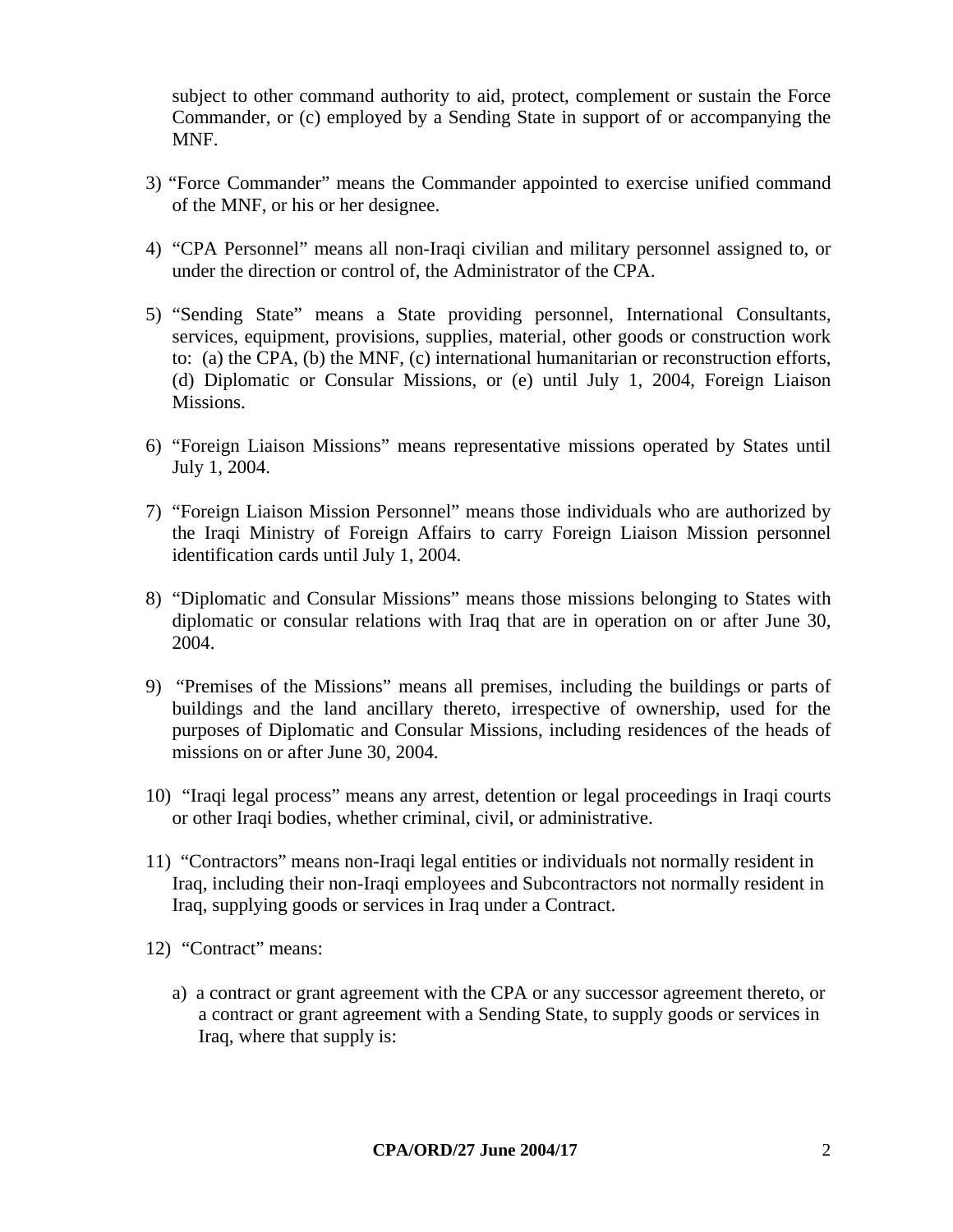subject to other command authority to aid, protect, complement or sustain the Force Commander, or (c) employed by a Sending State in support of or accompanying the MNF.

- 3) "Force Commander" means the Commander appointed to exercise unified command of the MNF, or his or her designee.
- 4) "CPA Personnel" means all non-Iraqi civilian and military personnel assigned to, or under the direction or control of, the Administrator of the CPA.
- 5) "Sending State" means a State providing personnel, International Consultants, services, equipment, provisions, supplies, material, other goods or construction work to: (a) the CPA, (b) the MNF, (c) international humanitarian or reconstruction efforts, (d) Diplomatic or Consular Missions, or (e) until July 1, 2004, Foreign Liaison Missions.
- 6) "Foreign Liaison Missions" means representative missions operated by States until July 1, 2004.
- 7) "Foreign Liaison Mission Personnel" means those individuals who are authorized by the Iraqi Ministry of Foreign Affairs to carry Foreign Liaison Mission personnel identification cards until July 1, 2004.
- 8) "Diplomatic and Consular Missions" means those missions belonging to States with diplomatic or consular relations with Iraq that are in operation on or after June 30, 2004.
- 9) "Premises of the Missions" means all premises, including the buildings or parts of buildings and the land ancillary thereto, irrespective of ownership, used for the purposes of Diplomatic and Consular Missions, including residences of the heads of missions on or after June 30, 2004.
- 10) "Iraqi legal process" means any arrest, detention or legal proceedings in Iraqi courts or other Iraqi bodies, whether criminal, civil, or administrative.
- 11) "Contractors" means non-Iraqi legal entities or individuals not normally resident in Iraq, including their non-Iraqi employees and Subcontractors not normally resident in Iraq, supplying goods or services in Iraq under a Contract.
- 12) "Contract" means:
	- a) a contract or grant agreement with the CPA or any successor agreement thereto, or a contract or grant agreement with a Sending State, to supply goods or services in Iraq, where that supply is: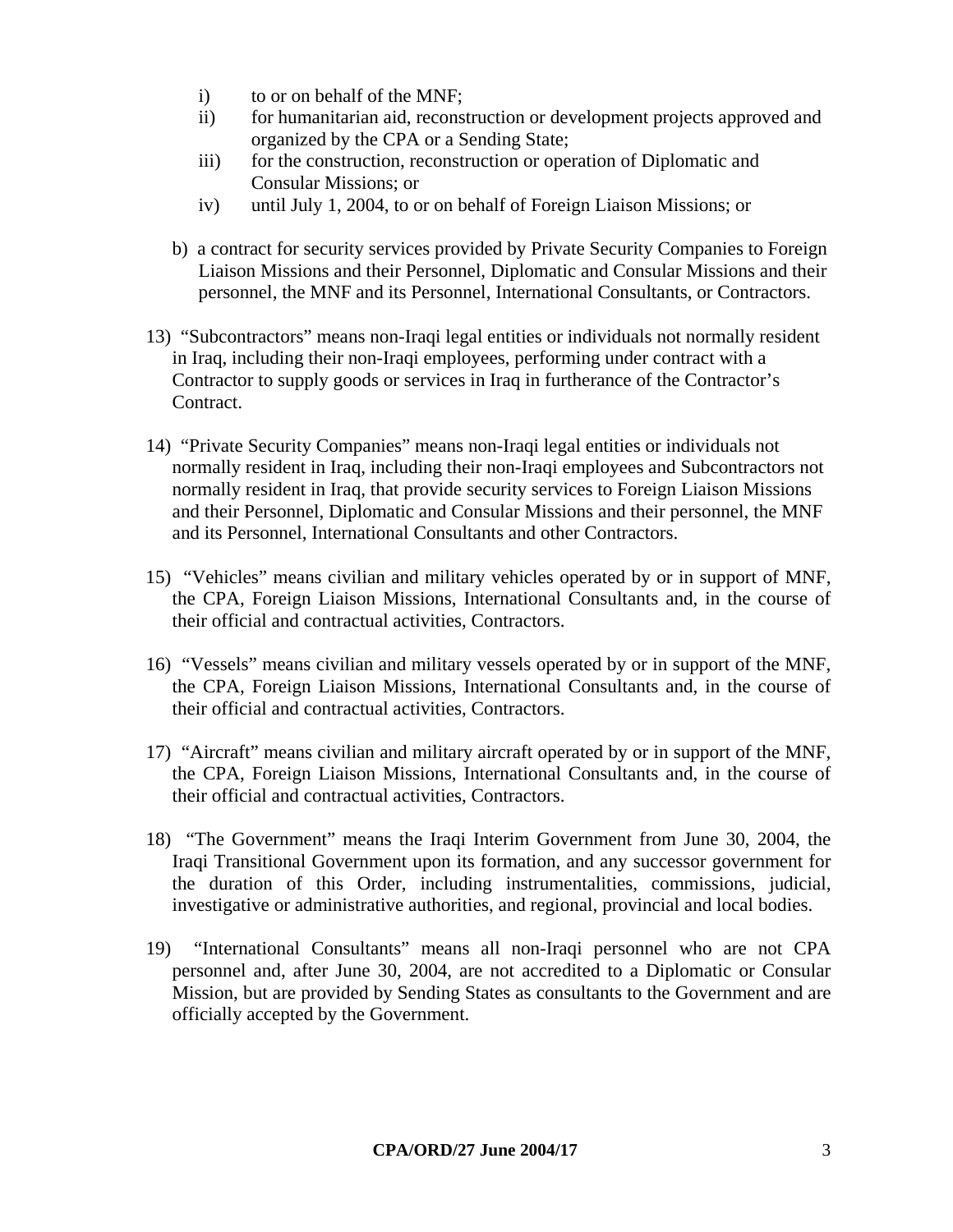- i) to or on behalf of the MNF;
- ii) for humanitarian aid, reconstruction or development projects approved and organized by the CPA or a Sending State;
- iii) for the construction, reconstruction or operation of Diplomatic and Consular Missions; or
- iv) until July 1, 2004, to or on behalf of Foreign Liaison Missions; or
- b) a contract for security services provided by Private Security Companies to Foreign Liaison Missions and their Personnel, Diplomatic and Consular Missions and their personnel, the MNF and its Personnel, International Consultants, or Contractors.
- 13) "Subcontractors" means non-Iraqi legal entities or individuals not normally resident in Iraq, including their non-Iraqi employees, performing under contract with a Contractor to supply goods or services in Iraq in furtherance of the Contractor's Contract.
- 14) "Private Security Companies" means non-Iraqi legal entities or individuals not normally resident in Iraq, including their non-Iraqi employees and Subcontractors not normally resident in Iraq, that provide security services to Foreign Liaison Missions and their Personnel, Diplomatic and Consular Missions and their personnel, the MNF and its Personnel, International Consultants and other Contractors.
- 15) "Vehicles" means civilian and military vehicles operated by or in support of MNF, the CPA, Foreign Liaison Missions, International Consultants and, in the course of their official and contractual activities, Contractors.
- 16) "Vessels" means civilian and military vessels operated by or in support of the MNF, the CPA, Foreign Liaison Missions, International Consultants and, in the course of their official and contractual activities, Contractors.
- 17) "Aircraft" means civilian and military aircraft operated by or in support of the MNF, the CPA, Foreign Liaison Missions, International Consultants and, in the course of their official and contractual activities, Contractors.
- 18) "The Government" means the Iraqi Interim Government from June 30, 2004, the Iraqi Transitional Government upon its formation, and any successor government for the duration of this Order, including instrumentalities, commissions, judicial, investigative or administrative authorities, and regional, provincial and local bodies.
- 19) "International Consultants" means all non-Iraqi personnel who are not CPA personnel and, after June 30, 2004, are not accredited to a Diplomatic or Consular Mission, but are provided by Sending States as consultants to the Government and are officially accepted by the Government.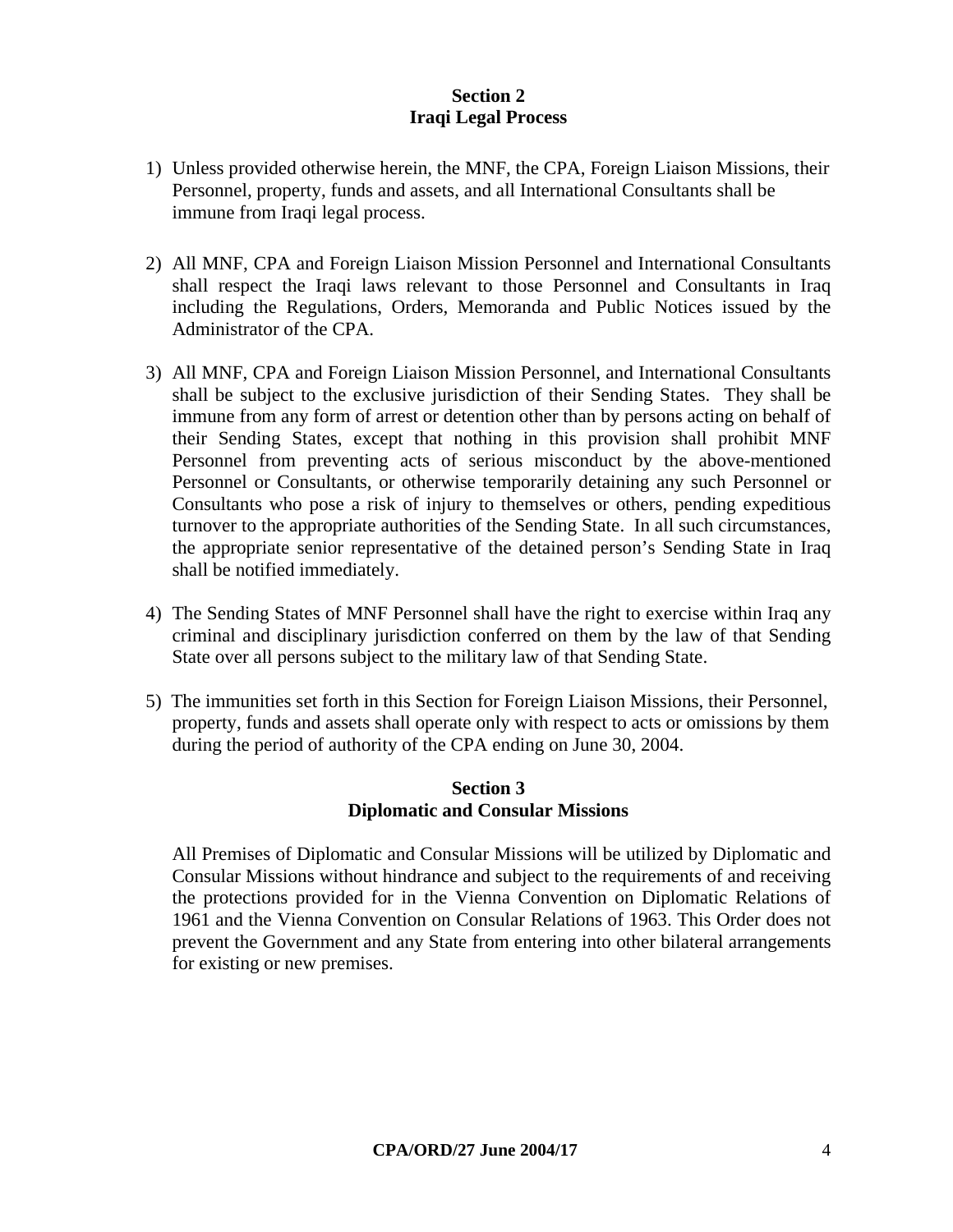### **Section 2 Iraqi Legal Process**

- 1) Unless provided otherwise herein, the MNF, the CPA, Foreign Liaison Missions, their Personnel, property, funds and assets, and all International Consultants shall be immune from Iraqi legal process.
- 2) All MNF, CPA and Foreign Liaison Mission Personnel and International Consultants shall respect the Iraqi laws relevant to those Personnel and Consultants in Iraq including the Regulations, Orders, Memoranda and Public Notices issued by the Administrator of the CPA.
- 3) All MNF, CPA and Foreign Liaison Mission Personnel, and International Consultants shall be subject to the exclusive jurisdiction of their Sending States. They shall be immune from any form of arrest or detention other than by persons acting on behalf of their Sending States, except that nothing in this provision shall prohibit MNF Personnel from preventing acts of serious misconduct by the above-mentioned Personnel or Consultants, or otherwise temporarily detaining any such Personnel or Consultants who pose a risk of injury to themselves or others, pending expeditious turnover to the appropriate authorities of the Sending State. In all such circumstances, the appropriate senior representative of the detained person's Sending State in Iraq shall be notified immediately.
- 4) The Sending States of MNF Personnel shall have the right to exercise within Iraq any criminal and disciplinary jurisdiction conferred on them by the law of that Sending State over all persons subject to the military law of that Sending State.
- 5) The immunities set forth in this Section for Foreign Liaison Missions, their Personnel, property, funds and assets shall operate only with respect to acts or omissions by them during the period of authority of the CPA ending on June 30, 2004.

### **Section 3 Diplomatic and Consular Missions**

 All Premises of Diplomatic and Consular Missions will be utilized by Diplomatic and Consular Missions without hindrance and subject to the requirements of and receiving the protections provided for in the Vienna Convention on Diplomatic Relations of 1961 and the Vienna Convention on Consular Relations of 1963. This Order does not prevent the Government and any State from entering into other bilateral arrangements for existing or new premises.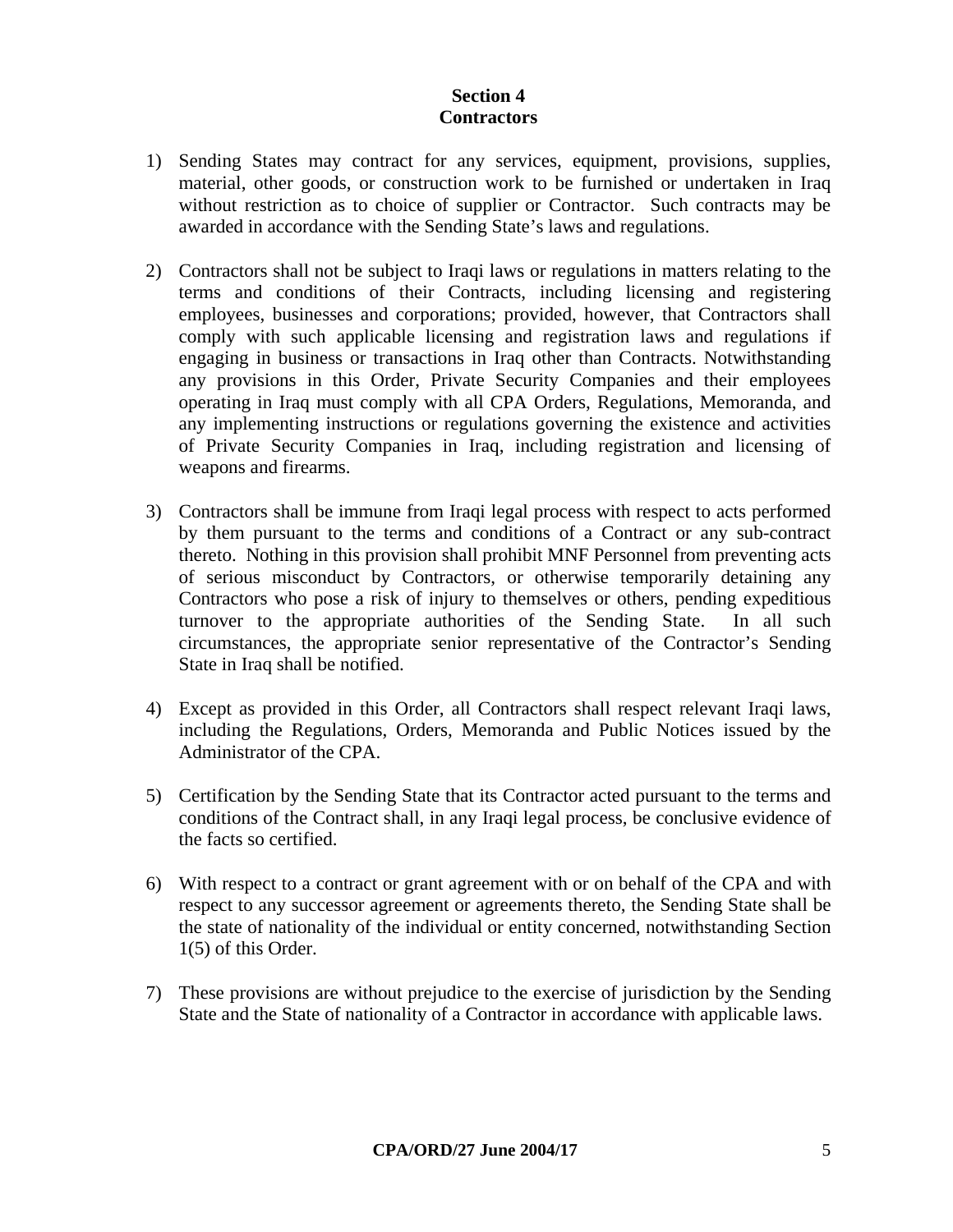### **Section 4 Contractors**

- 1) Sending States may contract for any services, equipment, provisions, supplies, material, other goods, or construction work to be furnished or undertaken in Iraq without restriction as to choice of supplier or Contractor. Such contracts may be awarded in accordance with the Sending State's laws and regulations.
- 2) Contractors shall not be subject to Iraqi laws or regulations in matters relating to the terms and conditions of their Contracts, including licensing and registering employees, businesses and corporations; provided, however, that Contractors shall comply with such applicable licensing and registration laws and regulations if engaging in business or transactions in Iraq other than Contracts. Notwithstanding any provisions in this Order, Private Security Companies and their employees operating in Iraq must comply with all CPA Orders, Regulations, Memoranda, and any implementing instructions or regulations governing the existence and activities of Private Security Companies in Iraq, including registration and licensing of weapons and firearms.
- 3) Contractors shall be immune from Iraqi legal process with respect to acts performed by them pursuant to the terms and conditions of a Contract or any sub-contract thereto. Nothing in this provision shall prohibit MNF Personnel from preventing acts of serious misconduct by Contractors, or otherwise temporarily detaining any Contractors who pose a risk of injury to themselves or others, pending expeditious turnover to the appropriate authorities of the Sending State. In all such circumstances, the appropriate senior representative of the Contractor's Sending State in Iraq shall be notified.
- 4) Except as provided in this Order, all Contractors shall respect relevant Iraqi laws, including the Regulations, Orders, Memoranda and Public Notices issued by the Administrator of the CPA.
- 5) Certification by the Sending State that its Contractor acted pursuant to the terms and conditions of the Contract shall, in any Iraqi legal process, be conclusive evidence of the facts so certified.
- 6) With respect to a contract or grant agreement with or on behalf of the CPA and with respect to any successor agreement or agreements thereto, the Sending State shall be the state of nationality of the individual or entity concerned, notwithstanding Section 1(5) of this Order.
- 7) These provisions are without prejudice to the exercise of jurisdiction by the Sending State and the State of nationality of a Contractor in accordance with applicable laws.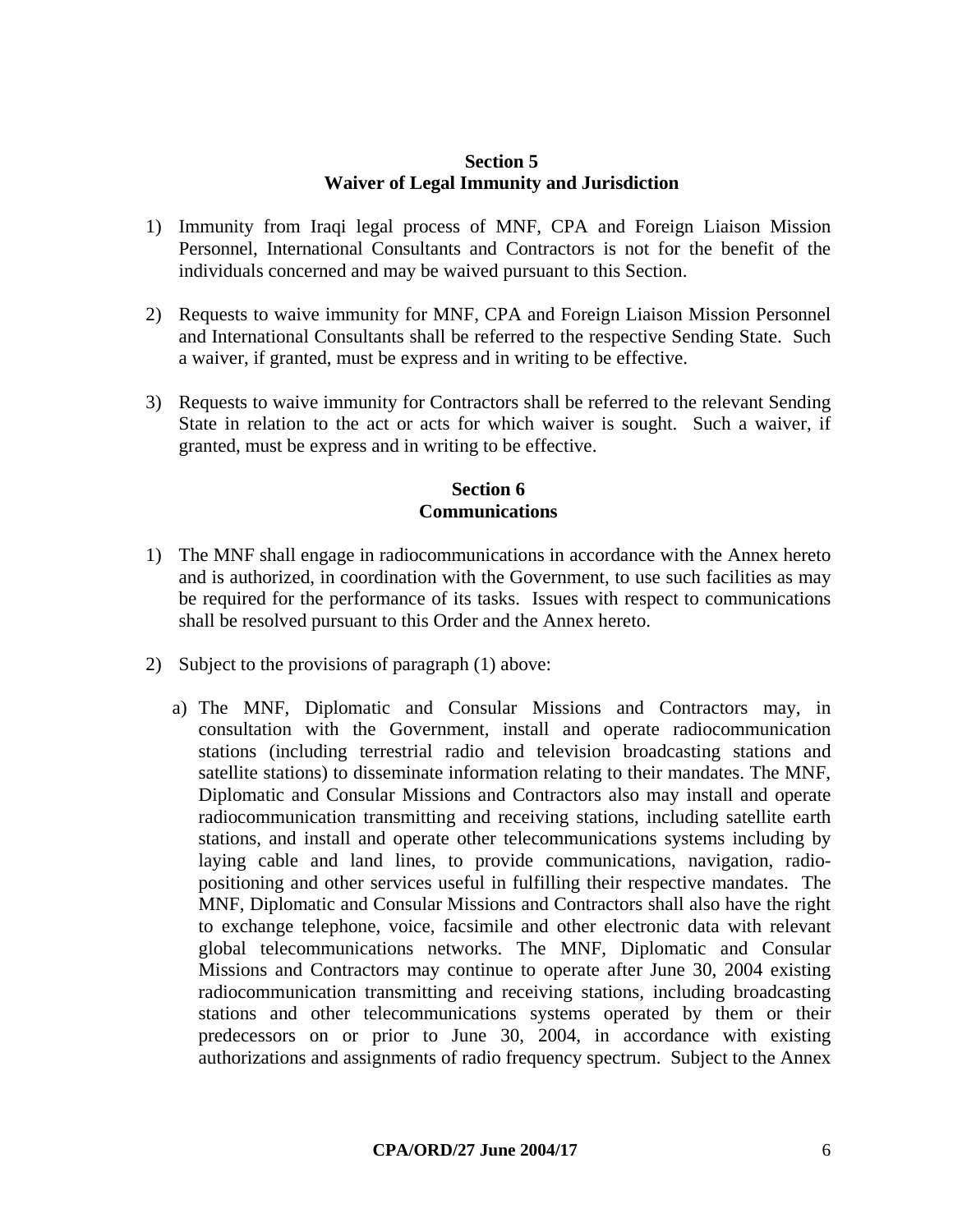#### **Section 5 Waiver of Legal Immunity and Jurisdiction**

- 1) Immunity from Iraqi legal process of MNF, CPA and Foreign Liaison Mission Personnel, International Consultants and Contractors is not for the benefit of the individuals concerned and may be waived pursuant to this Section.
- 2) Requests to waive immunity for MNF, CPA and Foreign Liaison Mission Personnel and International Consultants shall be referred to the respective Sending State. Such a waiver, if granted, must be express and in writing to be effective.
- 3) Requests to waive immunity for Contractors shall be referred to the relevant Sending State in relation to the act or acts for which waiver is sought. Such a waiver, if granted, must be express and in writing to be effective.

### **Section 6 Communications**

- 1) The MNF shall engage in radiocommunications in accordance with the Annex hereto and is authorized, in coordination with the Government, to use such facilities as may be required for the performance of its tasks. Issues with respect to communications shall be resolved pursuant to this Order and the Annex hereto.
- 2) Subject to the provisions of paragraph (1) above:
	- a) The MNF, Diplomatic and Consular Missions and Contractors may, in consultation with the Government, install and operate radiocommunication stations (including terrestrial radio and television broadcasting stations and satellite stations) to disseminate information relating to their mandates. The MNF, Diplomatic and Consular Missions and Contractors also may install and operate radiocommunication transmitting and receiving stations, including satellite earth stations, and install and operate other telecommunications systems including by laying cable and land lines, to provide communications, navigation, radiopositioning and other services useful in fulfilling their respective mandates. The MNF, Diplomatic and Consular Missions and Contractors shall also have the right to exchange telephone, voice, facsimile and other electronic data with relevant global telecommunications networks. The MNF, Diplomatic and Consular Missions and Contractors may continue to operate after June 30, 2004 existing radiocommunication transmitting and receiving stations, including broadcasting stations and other telecommunications systems operated by them or their predecessors on or prior to June 30, 2004, in accordance with existing authorizations and assignments of radio frequency spectrum. Subject to the Annex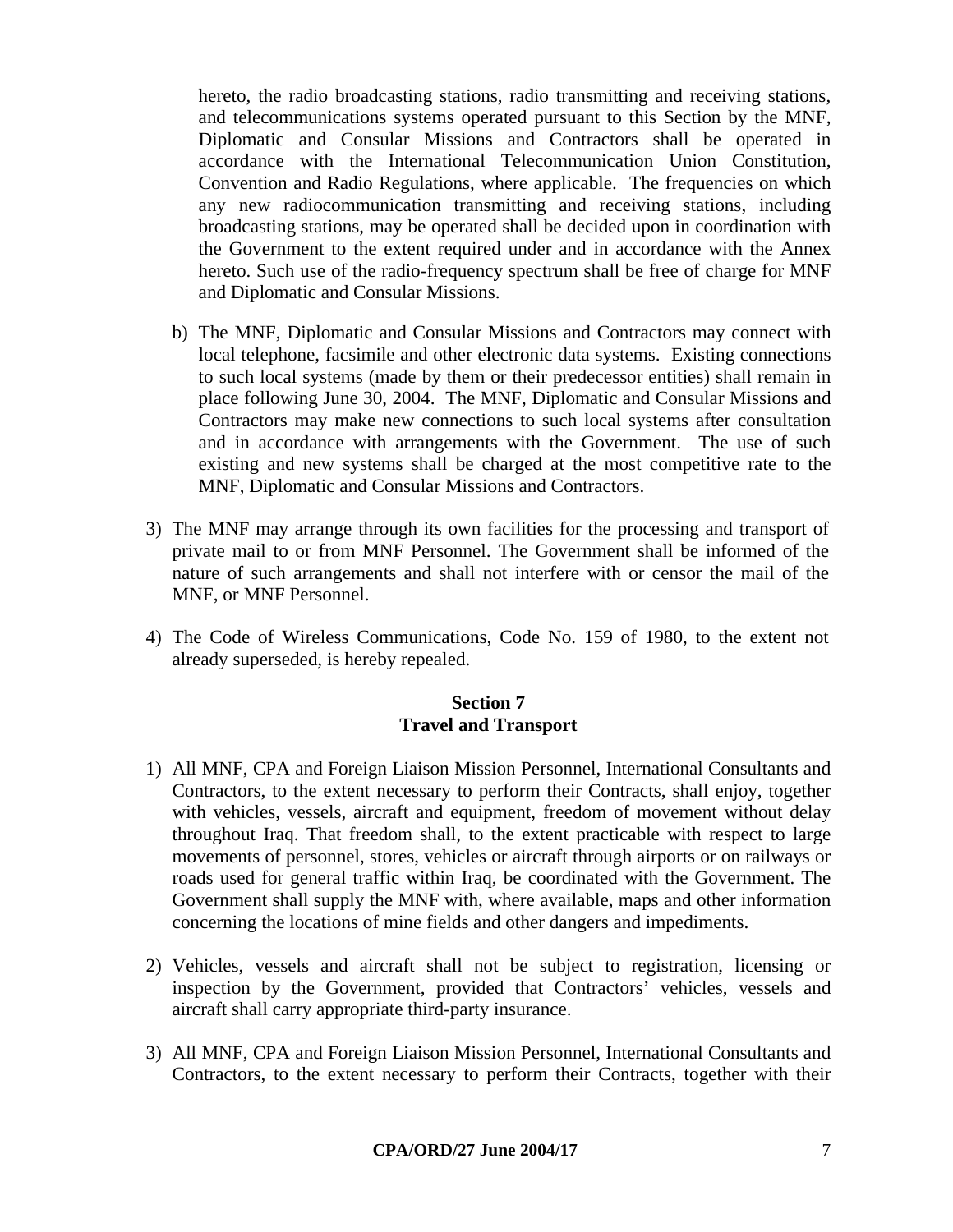hereto, the radio broadcasting stations, radio transmitting and receiving stations, and telecommunications systems operated pursuant to this Section by the MNF, Diplomatic and Consular Missions and Contractors shall be operated in accordance with the International Telecommunication Union Constitution, Convention and Radio Regulations, where applicable. The frequencies on which any new radiocommunication transmitting and receiving stations, including broadcasting stations, may be operated shall be decided upon in coordination with the Government to the extent required under and in accordance with the Annex hereto. Such use of the radio-frequency spectrum shall be free of charge for MNF and Diplomatic and Consular Missions.

- b) The MNF, Diplomatic and Consular Missions and Contractors may connect with local telephone, facsimile and other electronic data systems. Existing connections to such local systems (made by them or their predecessor entities) shall remain in place following June 30, 2004. The MNF, Diplomatic and Consular Missions and Contractors may make new connections to such local systems after consultation and in accordance with arrangements with the Government. The use of such existing and new systems shall be charged at the most competitive rate to the MNF, Diplomatic and Consular Missions and Contractors.
- 3) The MNF may arrange through its own facilities for the processing and transport of private mail to or from MNF Personnel. The Government shall be informed of the nature of such arrangements and shall not interfere with or censor the mail of the MNF, or MNF Personnel.
- 4) The Code of Wireless Communications, Code No. 159 of 1980, to the extent not already superseded, is hereby repealed.

#### **Section 7 Travel and Transport**

- 1) All MNF, CPA and Foreign Liaison Mission Personnel, International Consultants and Contractors, to the extent necessary to perform their Contracts, shall enjoy, together with vehicles, vessels, aircraft and equipment, freedom of movement without delay throughout Iraq. That freedom shall, to the extent practicable with respect to large movements of personnel, stores, vehicles or aircraft through airports or on railways or roads used for general traffic within Iraq, be coordinated with the Government. The Government shall supply the MNF with, where available, maps and other information concerning the locations of mine fields and other dangers and impediments.
- 2) Vehicles, vessels and aircraft shall not be subject to registration, licensing or inspection by the Government, provided that Contractors' vehicles, vessels and aircraft shall carry appropriate third-party insurance.
- 3) All MNF, CPA and Foreign Liaison Mission Personnel, International Consultants and Contractors, to the extent necessary to perform their Contracts, together with their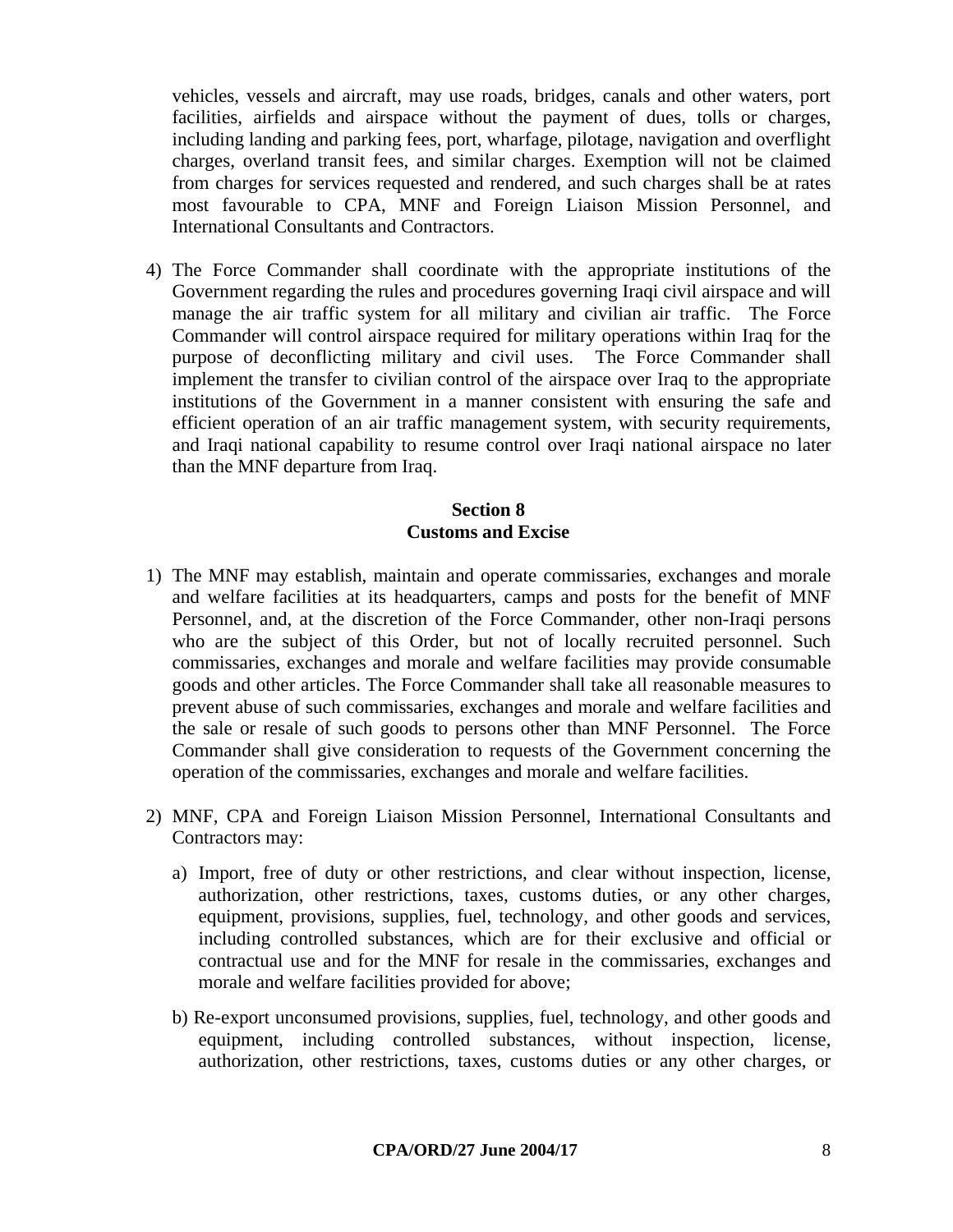vehicles, vessels and aircraft, may use roads, bridges, canals and other waters, port facilities, airfields and airspace without the payment of dues, tolls or charges, including landing and parking fees, port, wharfage, pilotage, navigation and overflight charges, overland transit fees, and similar charges. Exemption will not be claimed from charges for services requested and rendered, and such charges shall be at rates most favourable to CPA, MNF and Foreign Liaison Mission Personnel, and International Consultants and Contractors.

4) The Force Commander shall coordinate with the appropriate institutions of the Government regarding the rules and procedures governing Iraqi civil airspace and will manage the air traffic system for all military and civilian air traffic. The Force Commander will control airspace required for military operations within Iraq for the purpose of deconflicting military and civil uses. The Force Commander shall implement the transfer to civilian control of the airspace over Iraq to the appropriate institutions of the Government in a manner consistent with ensuring the safe and efficient operation of an air traffic management system, with security requirements, and Iraqi national capability to resume control over Iraqi national airspace no later than the MNF departure from Iraq.

### **Section 8 Customs and Excise**

- 1) The MNF may establish, maintain and operate commissaries, exchanges and morale and welfare facilities at its headquarters, camps and posts for the benefit of MNF Personnel, and, at the discretion of the Force Commander, other non-Iraqi persons who are the subject of this Order, but not of locally recruited personnel. Such commissaries, exchanges and morale and welfare facilities may provide consumable goods and other articles. The Force Commander shall take all reasonable measures to prevent abuse of such commissaries, exchanges and morale and welfare facilities and the sale or resale of such goods to persons other than MNF Personnel. The Force Commander shall give consideration to requests of the Government concerning the operation of the commissaries, exchanges and morale and welfare facilities.
- 2) MNF, CPA and Foreign Liaison Mission Personnel, International Consultants and Contractors may:
	- a) Import, free of duty or other restrictions, and clear without inspection, license, authorization, other restrictions, taxes, customs duties, or any other charges, equipment, provisions, supplies, fuel, technology, and other goods and services, including controlled substances, which are for their exclusive and official or contractual use and for the MNF for resale in the commissaries, exchanges and morale and welfare facilities provided for above;
	- b) Re-export unconsumed provisions, supplies, fuel, technology, and other goods and equipment, including controlled substances, without inspection, license, authorization, other restrictions, taxes, customs duties or any other charges, or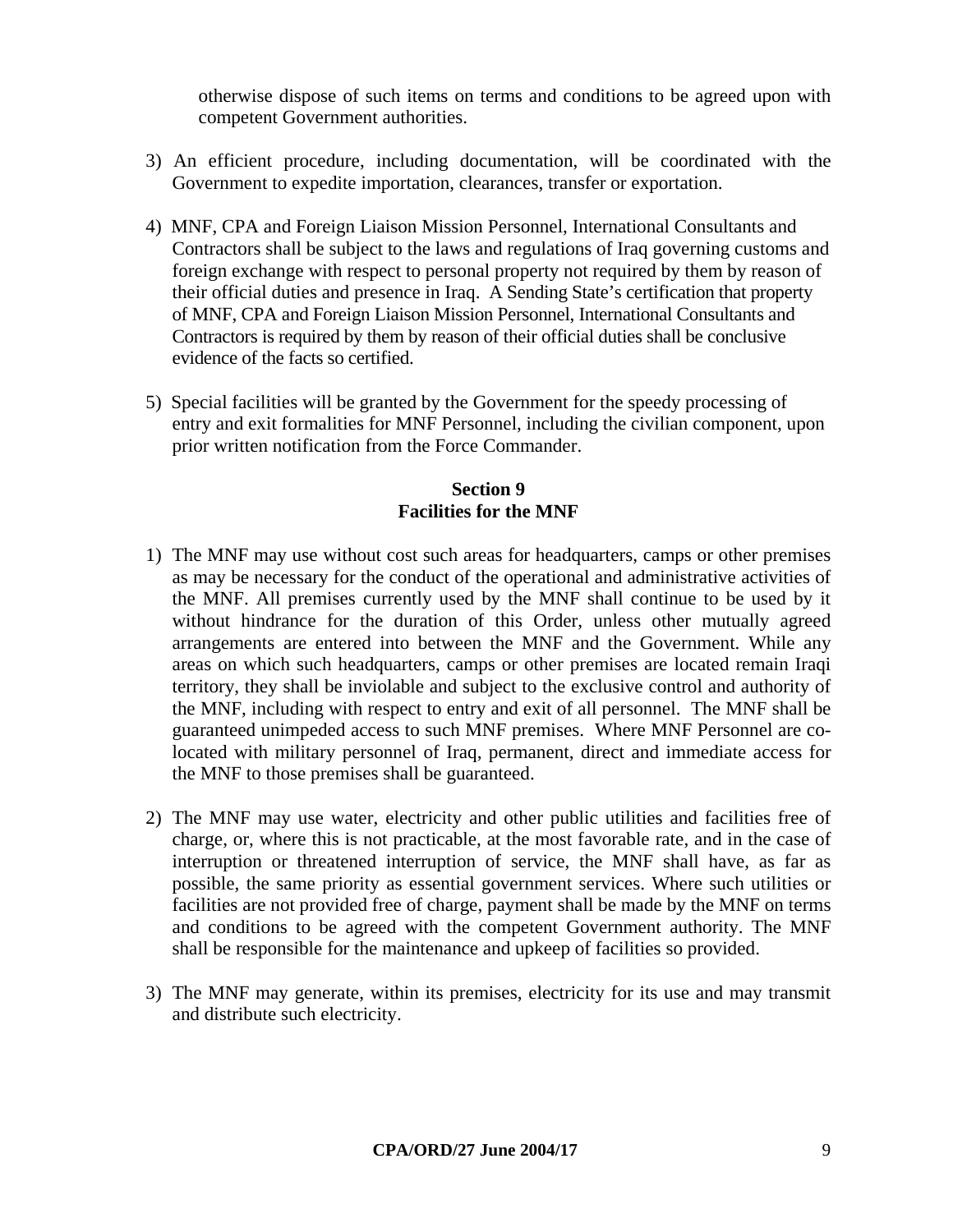otherwise dispose of such items on terms and conditions to be agreed upon with competent Government authorities.

- 3) An efficient procedure, including documentation, will be coordinated with the Government to expedite importation, clearances, transfer or exportation.
- 4) MNF, CPA and Foreign Liaison Mission Personnel, International Consultants and Contractors shall be subject to the laws and regulations of Iraq governing customs and foreign exchange with respect to personal property not required by them by reason of their official duties and presence in Iraq. A Sending State's certification that property of MNF, CPA and Foreign Liaison Mission Personnel, International Consultants and Contractors is required by them by reason of their official duties shall be conclusive evidence of the facts so certified.
- 5) Special facilities will be granted by the Government for the speedy processing of entry and exit formalities for MNF Personnel, including the civilian component, upon prior written notification from the Force Commander.

## **Section 9 Facilities for the MNF**

- 1) The MNF may use without cost such areas for headquarters, camps or other premises as may be necessary for the conduct of the operational and administrative activities of the MNF. All premises currently used by the MNF shall continue to be used by it without hindrance for the duration of this Order, unless other mutually agreed arrangements are entered into between the MNF and the Government. While any areas on which such headquarters, camps or other premises are located remain Iraqi territory, they shall be inviolable and subject to the exclusive control and authority of the MNF, including with respect to entry and exit of all personnel. The MNF shall be guaranteed unimpeded access to such MNF premises. Where MNF Personnel are colocated with military personnel of Iraq, permanent, direct and immediate access for the MNF to those premises shall be guaranteed.
- 2) The MNF may use water, electricity and other public utilities and facilities free of charge, or, where this is not practicable, at the most favorable rate, and in the case of interruption or threatened interruption of service, the MNF shall have, as far as possible, the same priority as essential government services. Where such utilities or facilities are not provided free of charge, payment shall be made by the MNF on terms and conditions to be agreed with the competent Government authority. The MNF shall be responsible for the maintenance and upkeep of facilities so provided.
- 3) The MNF may generate, within its premises, electricity for its use and may transmit and distribute such electricity.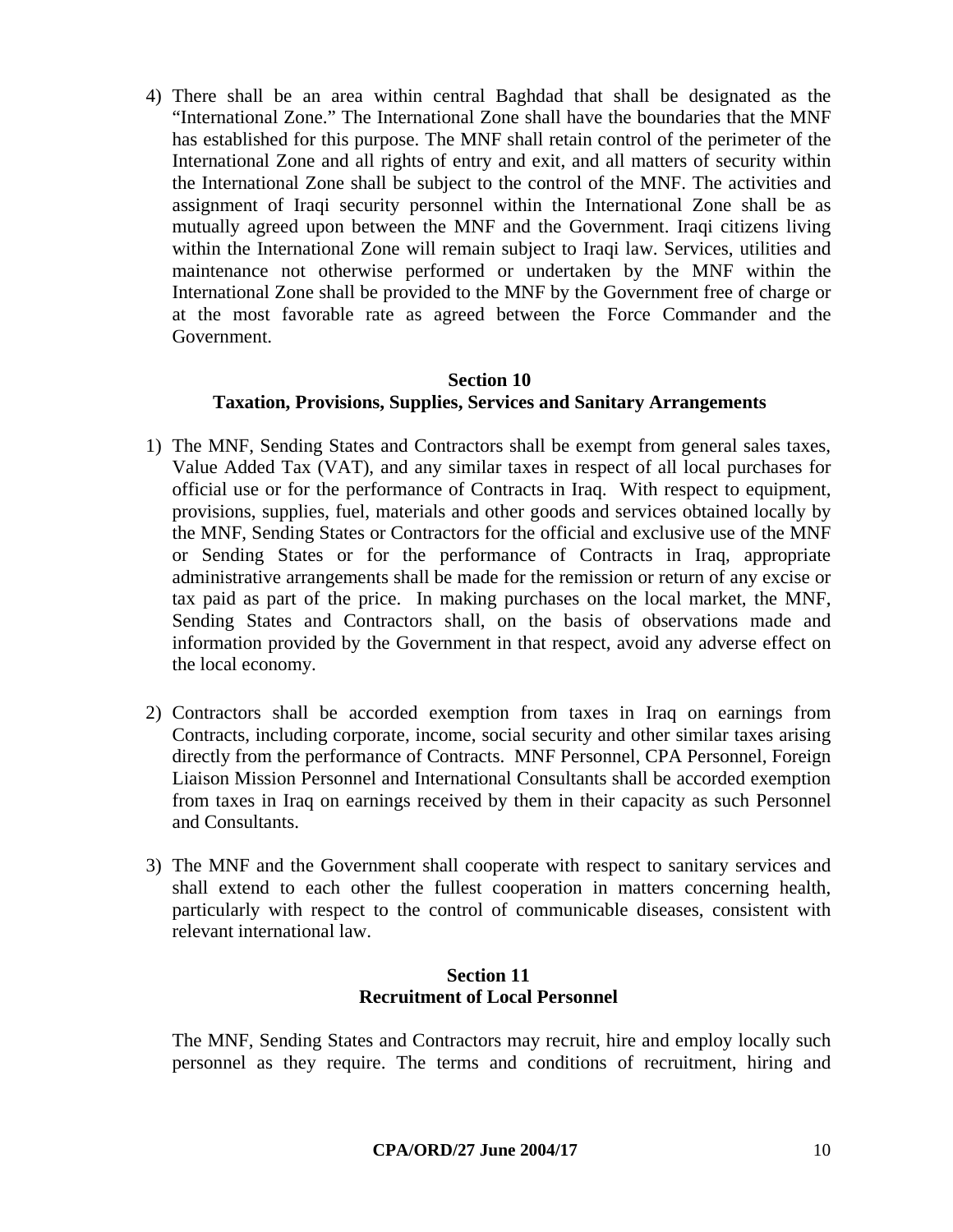4) There shall be an area within central Baghdad that shall be designated as the "International Zone." The International Zone shall have the boundaries that the MNF has established for this purpose. The MNF shall retain control of the perimeter of the International Zone and all rights of entry and exit, and all matters of security within the International Zone shall be subject to the control of the MNF. The activities and assignment of Iraqi security personnel within the International Zone shall be as mutually agreed upon between the MNF and the Government. Iraqi citizens living within the International Zone will remain subject to Iraqi law. Services, utilities and maintenance not otherwise performed or undertaken by the MNF within the International Zone shall be provided to the MNF by the Government free of charge or at the most favorable rate as agreed between the Force Commander and the Government.

# **Section 10 Taxation, Provisions, Supplies, Services and Sanitary Arrangements**

- 1) The MNF, Sending States and Contractors shall be exempt from general sales taxes, Value Added Tax (VAT), and any similar taxes in respect of all local purchases for official use or for the performance of Contracts in Iraq. With respect to equipment, provisions, supplies, fuel, materials and other goods and services obtained locally by the MNF, Sending States or Contractors for the official and exclusive use of the MNF or Sending States or for the performance of Contracts in Iraq, appropriate administrative arrangements shall be made for the remission or return of any excise or tax paid as part of the price. In making purchases on the local market, the MNF, Sending States and Contractors shall, on the basis of observations made and information provided by the Government in that respect, avoid any adverse effect on the local economy.
- 2) Contractors shall be accorded exemption from taxes in Iraq on earnings from Contracts, including corporate, income, social security and other similar taxes arising directly from the performance of Contracts. MNF Personnel, CPA Personnel, Foreign Liaison Mission Personnel and International Consultants shall be accorded exemption from taxes in Iraq on earnings received by them in their capacity as such Personnel and Consultants.
- 3) The MNF and the Government shall cooperate with respect to sanitary services and shall extend to each other the fullest cooperation in matters concerning health, particularly with respect to the control of communicable diseases, consistent with relevant international law.

### **Section 11 Recruitment of Local Personnel**

The MNF, Sending States and Contractors may recruit, hire and employ locally such personnel as they require. The terms and conditions of recruitment, hiring and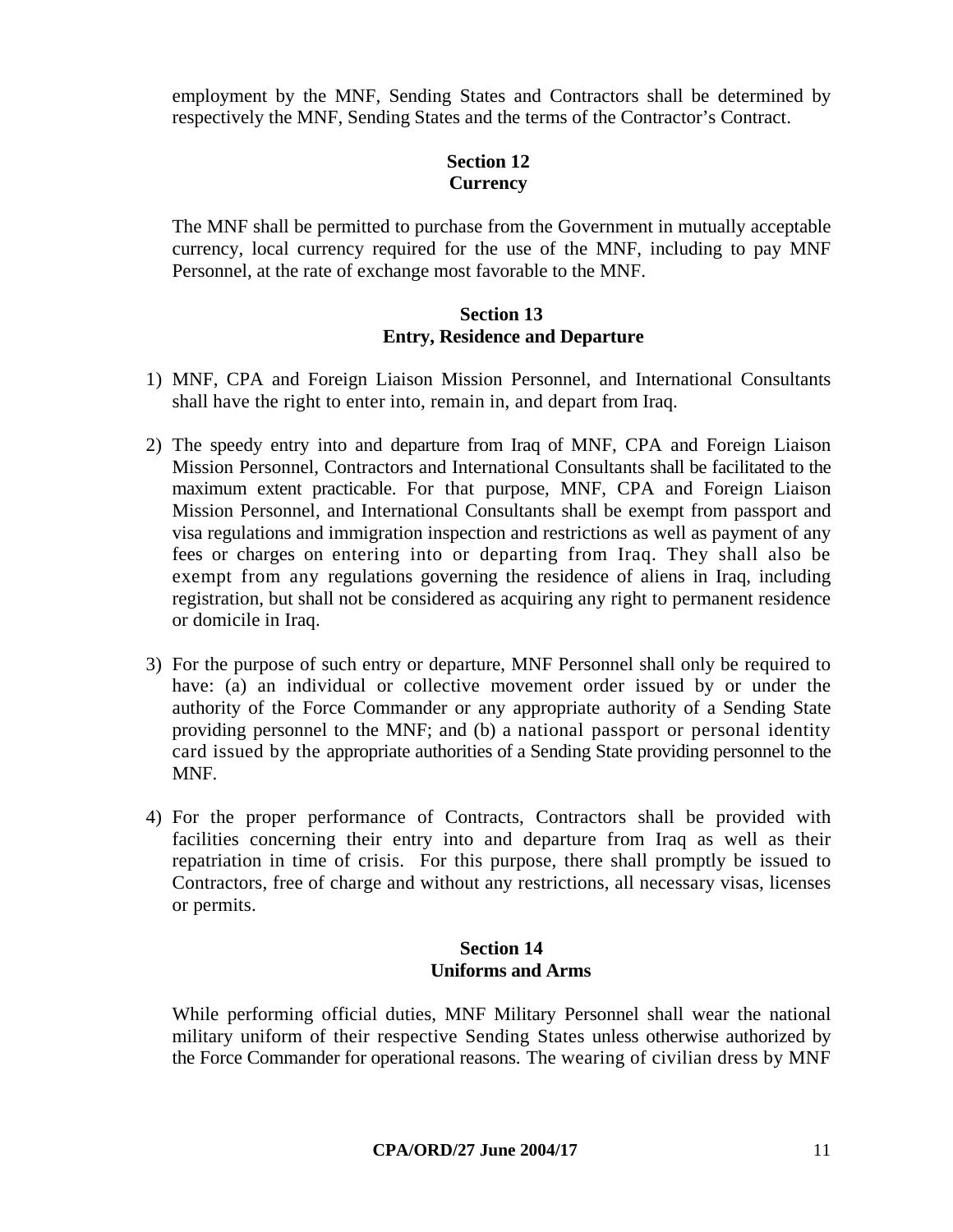employment by the MNF, Sending States and Contractors shall be determined by respectively the MNF, Sending States and the terms of the Contractor's Contract.

### **Section 12 Currency**

The MNF shall be permitted to purchase from the Government in mutually acceptable currency, local currency required for the use of the MNF, including to pay MNF Personnel, at the rate of exchange most favorable to the MNF.

### **Section 13 Entry, Residence and Departure**

- 1) MNF, CPA and Foreign Liaison Mission Personnel, and International Consultants shall have the right to enter into, remain in, and depart from Iraq.
- 2) The speedy entry into and departure from Iraq of MNF, CPA and Foreign Liaison Mission Personnel, Contractors and International Consultants shall be facilitated to the maximum extent practicable. For that purpose, MNF, CPA and Foreign Liaison Mission Personnel, and International Consultants shall be exempt from passport and visa regulations and immigration inspection and restrictions as well as payment of any fees or charges on entering into or departing from Iraq. They shall also be exempt from any regulations governing the residence of aliens in Iraq, including registration, but shall not be considered as acquiring any right to permanent residence or domicile in Iraq.
- 3) For the purpose of such entry or departure, MNF Personnel shall only be required to have: (a) an individual or collective movement order issued by or under the authority of the Force Commander or any appropriate authority of a Sending State providing personnel to the MNF; and (b) a national passport or personal identity card issued by the appropriate authorities of a Sending State providing personnel to the MNF.
- 4) For the proper performance of Contracts, Contractors shall be provided with facilities concerning their entry into and departure from Iraq as well as their repatriation in time of crisis. For this purpose, there shall promptly be issued to Contractors, free of charge and without any restrictions, all necessary visas, licenses or permits.

### **Section 14 Uniforms and Arms**

While performing official duties, MNF Military Personnel shall wear the national military uniform of their respective Sending States unless otherwise authorized by the Force Commander for operational reasons. The wearing of civilian dress by MNF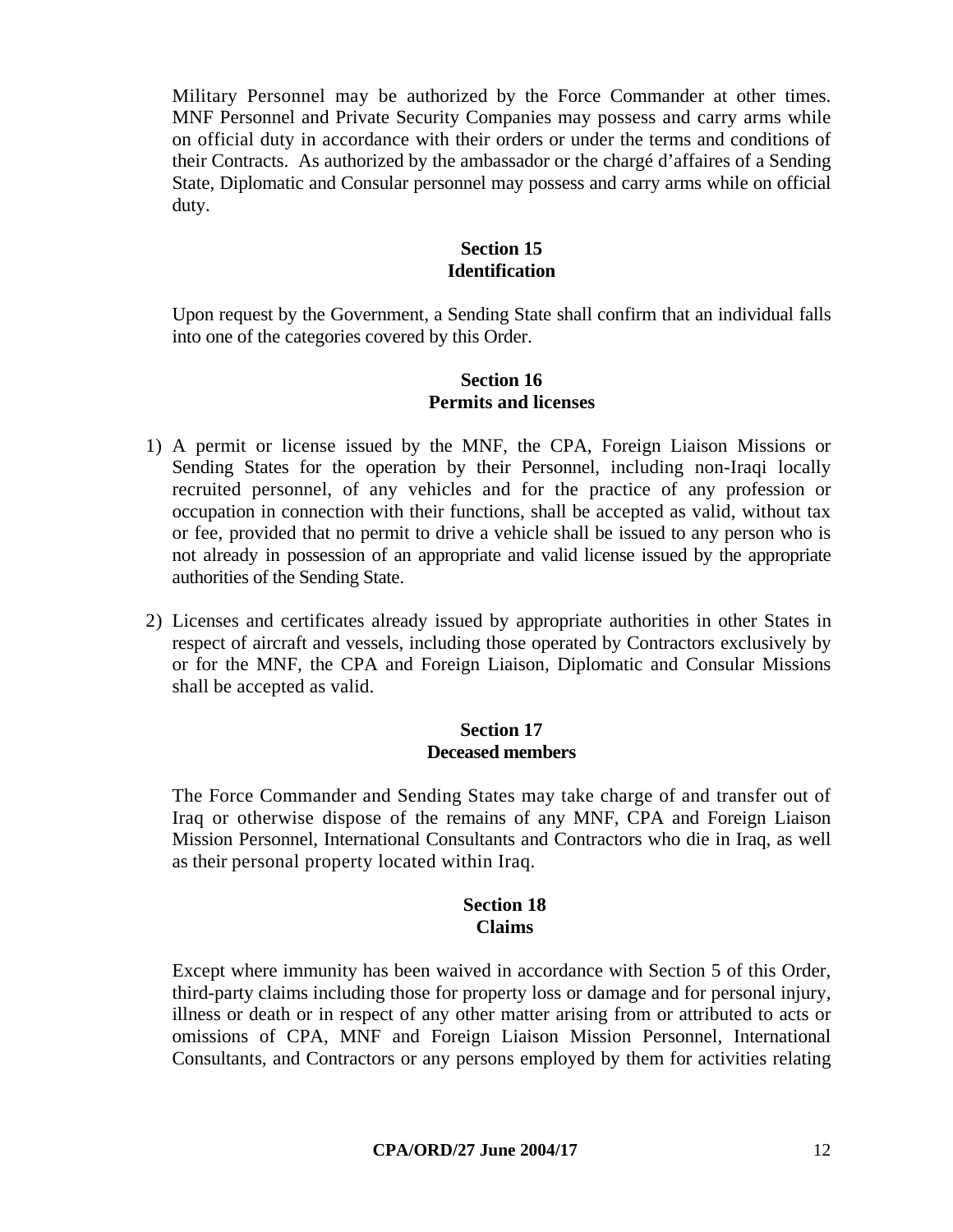Military Personnel may be authorized by the Force Commander at other times. MNF Personnel and Private Security Companies may possess and carry arms while on official duty in accordance with their orders or under the terms and conditions of their Contracts. As authorized by the ambassador or the chargé d'affaires of a Sending State, Diplomatic and Consular personnel may possess and carry arms while on official duty.

#### **Section 15 Identification**

Upon request by the Government, a Sending State shall confirm that an individual falls into one of the categories covered by this Order.

### **Section 16 Permits and licenses**

- 1) A permit or license issued by the MNF, the CPA, Foreign Liaison Missions or Sending States for the operation by their Personnel, including non-Iraqi locally recruited personnel, of any vehicles and for the practice of any profession or occupation in connection with their functions, shall be accepted as valid, without tax or fee, provided that no permit to drive a vehicle shall be issued to any person who is not already in possession of an appropriate and valid license issued by the appropriate authorities of the Sending State.
- 2) Licenses and certificates already issued by appropriate authorities in other States in respect of aircraft and vessels, including those operated by Contractors exclusively by or for the MNF, the CPA and Foreign Liaison, Diplomatic and Consular Missions shall be accepted as valid.

#### **Section 17 Deceased members**

The Force Commander and Sending States may take charge of and transfer out of Iraq or otherwise dispose of the remains of any MNF, CPA and Foreign Liaison Mission Personnel, International Consultants and Contractors who die in Iraq, as well as their personal property located within Iraq.

#### **Section 18 Claims**

Except where immunity has been waived in accordance with Section 5 of this Order, third-party claims including those for property loss or damage and for personal injury, illness or death or in respect of any other matter arising from or attributed to acts or omissions of CPA, MNF and Foreign Liaison Mission Personnel, International Consultants, and Contractors or any persons employed by them for activities relating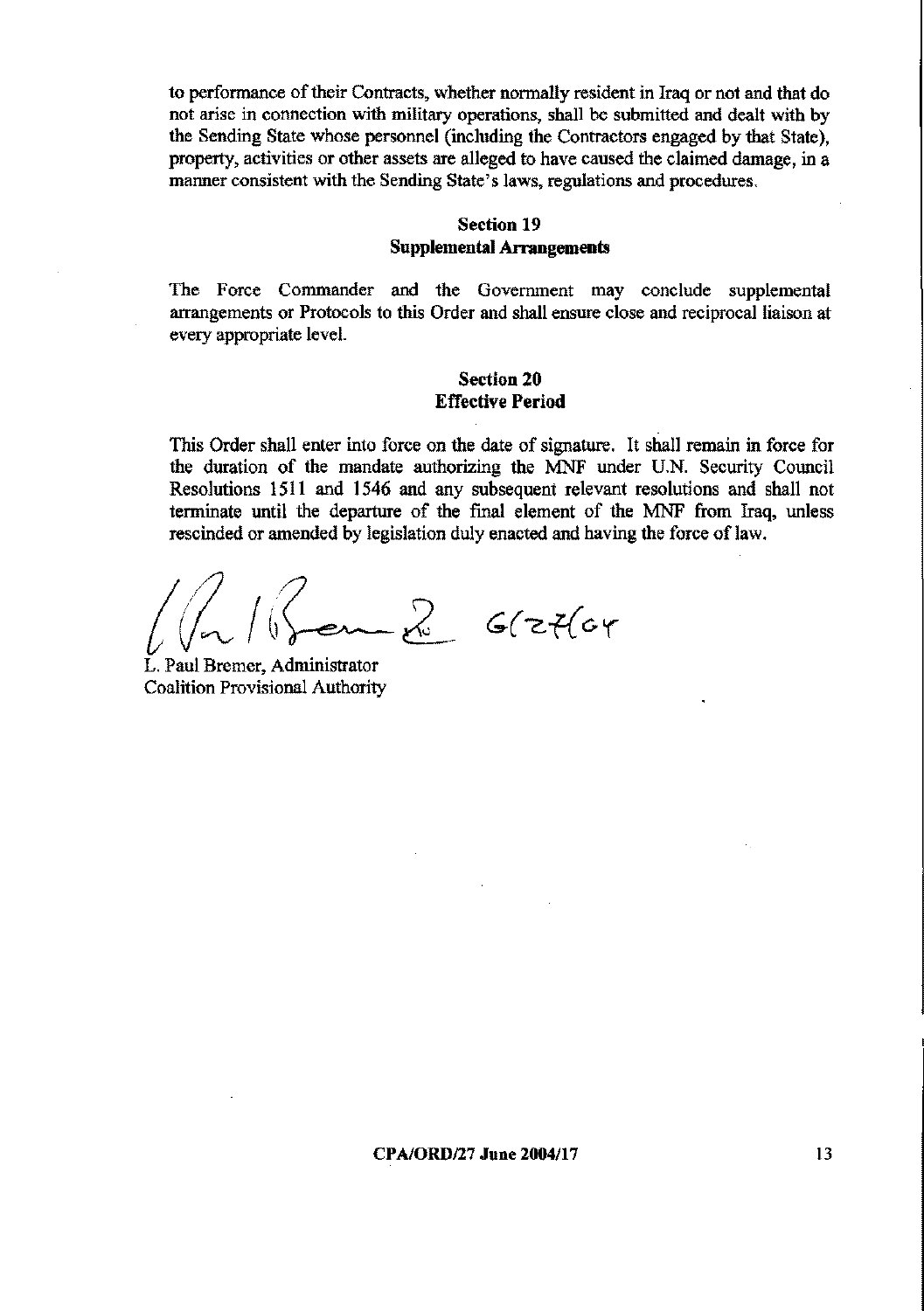to performance of their Contracts, whether normally resident in Iraq or not and that do not arise in connection with military operations, shall be submitted and dealt with by the Sending State whose personnel (including the Contractors engaged by that State). property, activities or other assets are alleged to have caused the claimed damage, in a manner consistent with the Sending State's laws, regulations and procedures.

### **Section 19 Supplemental Arrangements**

The Force Commander and the Government may conclude supplemental arrangements or Protocols to this Order and shall ensure close and reciprocal liaison at every appropriate level.

#### **Section 20 Effective Period**

This Order shall enter into force on the date of signature. It shall remain in force for the duration of the mandate authorizing the MNF under U.N. Security Council Resolutions 1511 and 1546 and any subsequent relevant resolutions and shall not terminate until the departure of the final element of the MNF from Iraq, unless rescinded or amended by legislation duly enacted and having the force of law.

 $\sim$   $\approx$   $6$ (zt(cr

L. Paul Bremer, Administrator **Coalition Provisional Authority** 

CPA/ORD/27 June 2004/17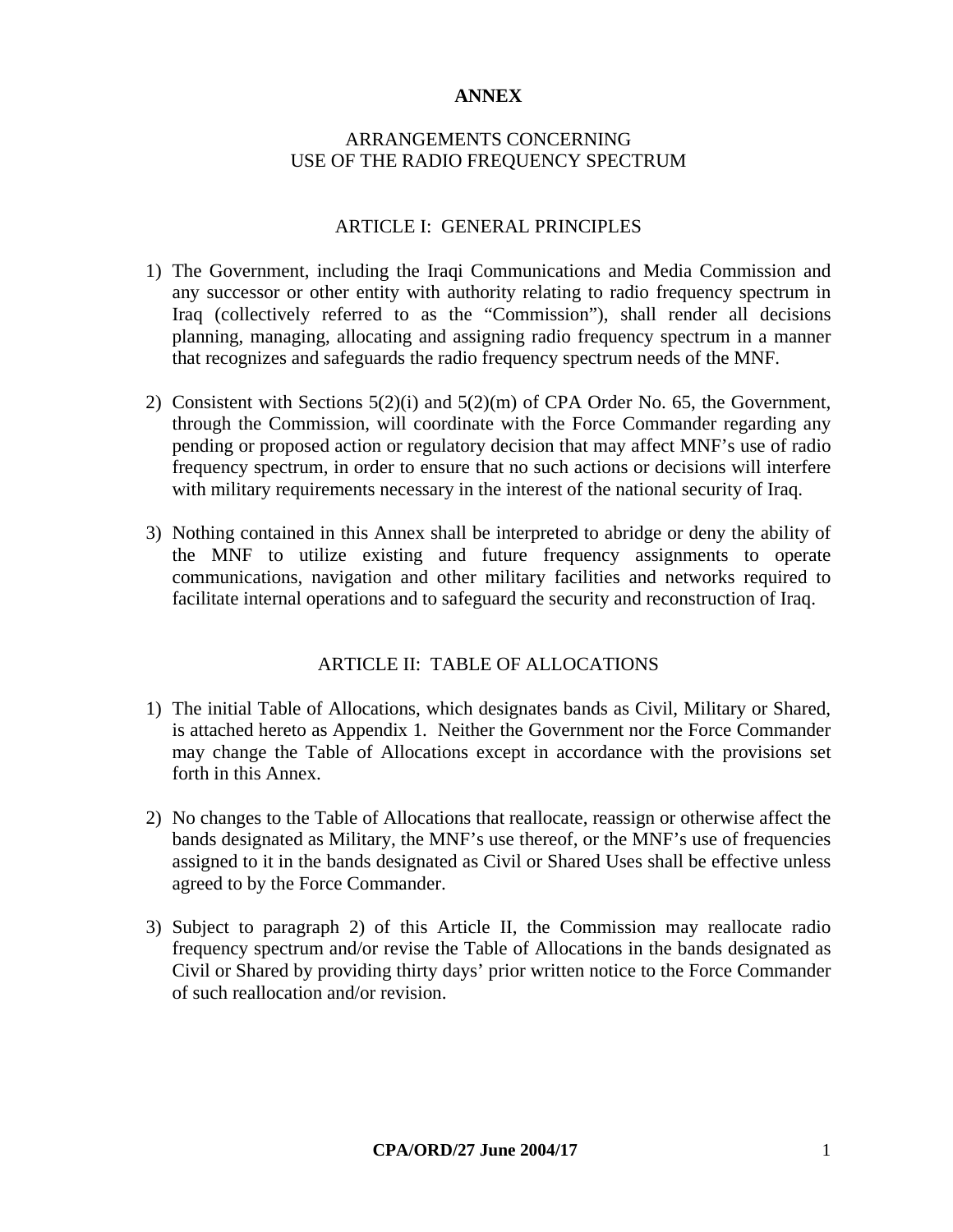#### **ANNEX**

### ARRANGEMENTS CONCERNING USE OF THE RADIO FREQUENCY SPECTRUM

#### ARTICLE I: GENERAL PRINCIPLES

- 1) The Government, including the Iraqi Communications and Media Commission and any successor or other entity with authority relating to radio frequency spectrum in Iraq (collectively referred to as the "Commission"), shall render all decisions planning, managing, allocating and assigning radio frequency spectrum in a manner that recognizes and safeguards the radio frequency spectrum needs of the MNF.
- 2) Consistent with Sections 5(2)(i) and 5(2)(m) of CPA Order No. 65, the Government, through the Commission, will coordinate with the Force Commander regarding any pending or proposed action or regulatory decision that may affect MNF's use of radio frequency spectrum, in order to ensure that no such actions or decisions will interfere with military requirements necessary in the interest of the national security of Iraq.
- 3) Nothing contained in this Annex shall be interpreted to abridge or deny the ability of the MNF to utilize existing and future frequency assignments to operate communications, navigation and other military facilities and networks required to facilitate internal operations and to safeguard the security and reconstruction of Iraq.

#### ARTICLE II: TABLE OF ALLOCATIONS

- 1) The initial Table of Allocations, which designates bands as Civil, Military or Shared, is attached hereto as Appendix 1. Neither the Government nor the Force Commander may change the Table of Allocations except in accordance with the provisions set forth in this Annex.
- 2) No changes to the Table of Allocations that reallocate, reassign or otherwise affect the bands designated as Military, the MNF's use thereof, or the MNF's use of frequencies assigned to it in the bands designated as Civil or Shared Uses shall be effective unless agreed to by the Force Commander.
- 3) Subject to paragraph 2) of this Article II, the Commission may reallocate radio frequency spectrum and/or revise the Table of Allocations in the bands designated as Civil or Shared by providing thirty days' prior written notice to the Force Commander of such reallocation and/or revision.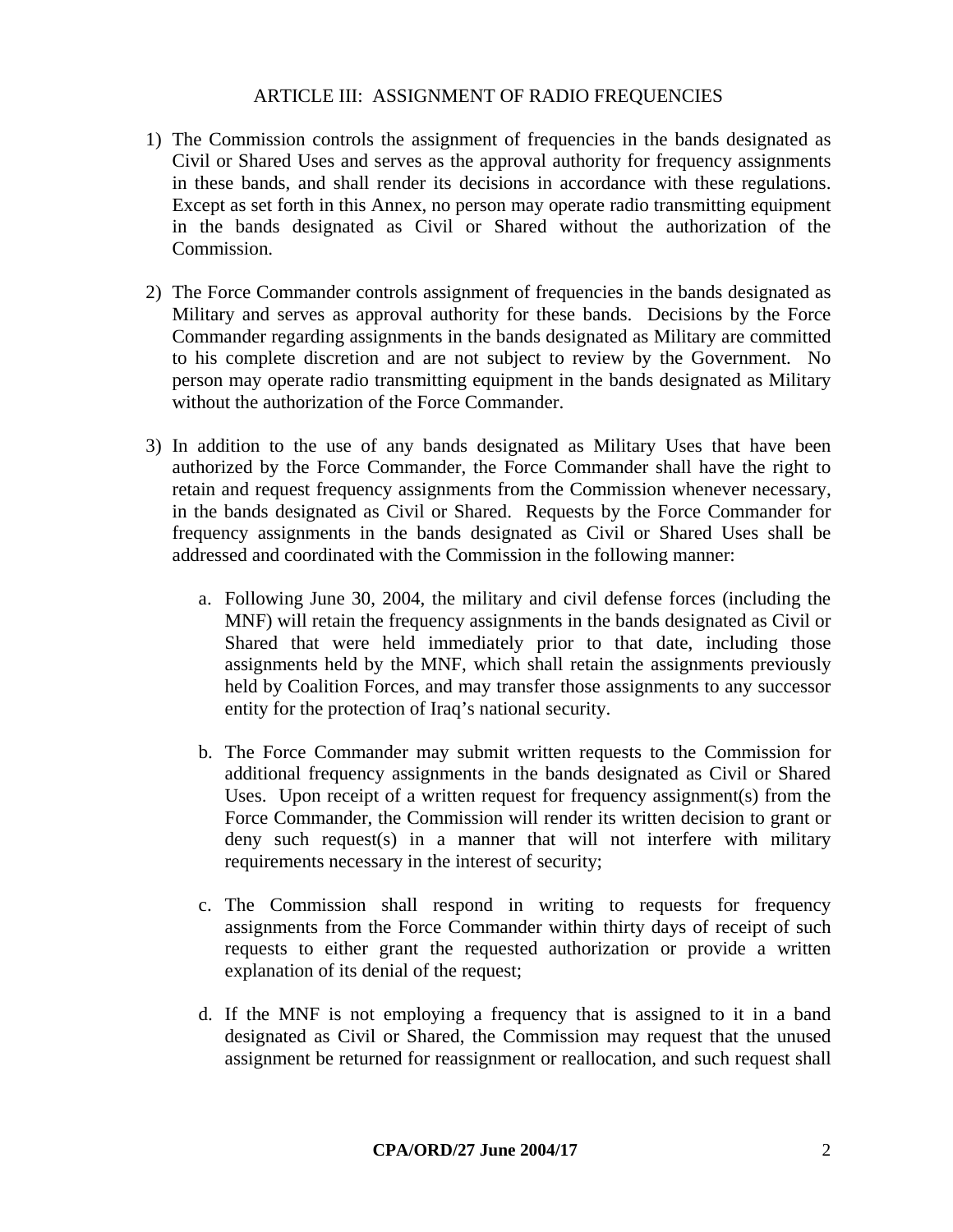#### ARTICLE III: ASSIGNMENT OF RADIO FREQUENCIES

- 1) The Commission controls the assignment of frequencies in the bands designated as Civil or Shared Uses and serves as the approval authority for frequency assignments in these bands, and shall render its decisions in accordance with these regulations. Except as set forth in this Annex, no person may operate radio transmitting equipment in the bands designated as Civil or Shared without the authorization of the Commission.
- 2) The Force Commander controls assignment of frequencies in the bands designated as Military and serves as approval authority for these bands. Decisions by the Force Commander regarding assignments in the bands designated as Military are committed to his complete discretion and are not subject to review by the Government. No person may operate radio transmitting equipment in the bands designated as Military without the authorization of the Force Commander.
- 3) In addition to the use of any bands designated as Military Uses that have been authorized by the Force Commander, the Force Commander shall have the right to retain and request frequency assignments from the Commission whenever necessary, in the bands designated as Civil or Shared. Requests by the Force Commander for frequency assignments in the bands designated as Civil or Shared Uses shall be addressed and coordinated with the Commission in the following manner:
	- a. Following June 30, 2004, the military and civil defense forces (including the MNF) will retain the frequency assignments in the bands designated as Civil or Shared that were held immediately prior to that date, including those assignments held by the MNF, which shall retain the assignments previously held by Coalition Forces, and may transfer those assignments to any successor entity for the protection of Iraq's national security.
	- b. The Force Commander may submit written requests to the Commission for additional frequency assignments in the bands designated as Civil or Shared Uses. Upon receipt of a written request for frequency assignment(s) from the Force Commander, the Commission will render its written decision to grant or deny such request(s) in a manner that will not interfere with military requirements necessary in the interest of security;
	- c. The Commission shall respond in writing to requests for frequency assignments from the Force Commander within thirty days of receipt of such requests to either grant the requested authorization or provide a written explanation of its denial of the request;
	- d. If the MNF is not employing a frequency that is assigned to it in a band designated as Civil or Shared, the Commission may request that the unused assignment be returned for reassignment or reallocation, and such request shall